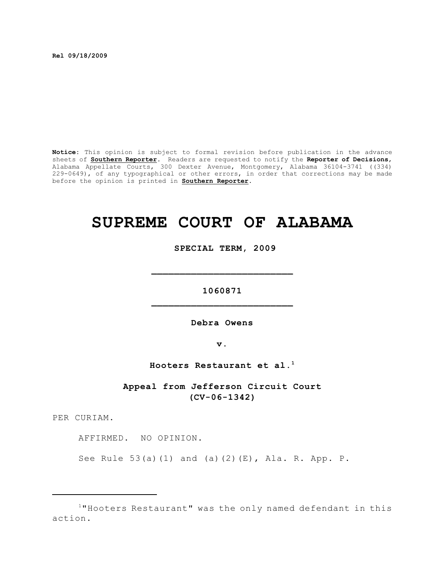**Rel 09/18/2009**

**Notice:** This opinion is subject to formal revision before publication in the advance sheets of **Southern Reporter**. Readers are requested to notify the **Reporter of Decisions**, Alabama Appellate Courts, 300 Dexter Avenue, Montgomery, Alabama 36104-3741 ((334) 229-0649), of any typographical or other errors, in order that corrections may be made before the opinion is printed in **Southern Reporter**.

# **SUPREME COURT OF ALABAMA**

 **SPECIAL TERM, 2009**

**1060871 \_\_\_\_\_\_\_\_\_\_\_\_\_\_\_\_\_\_\_\_\_\_\_\_\_**

**\_\_\_\_\_\_\_\_\_\_\_\_\_\_\_\_\_\_\_\_\_\_\_\_\_**

**Debra Owens**

**v.**

**Hooters Restaurant et al.<sup>1</sup>**

**Appeal from Jefferson Circuit Court (CV-06-1342)**

PER CURIAM.

AFFIRMED. NO OPINION.

See Rule 53(a)(1) and (a)(2)(E), Ala. R. App. P.

 $1$ "Hooters Restaurant" was the only named defendant in this action.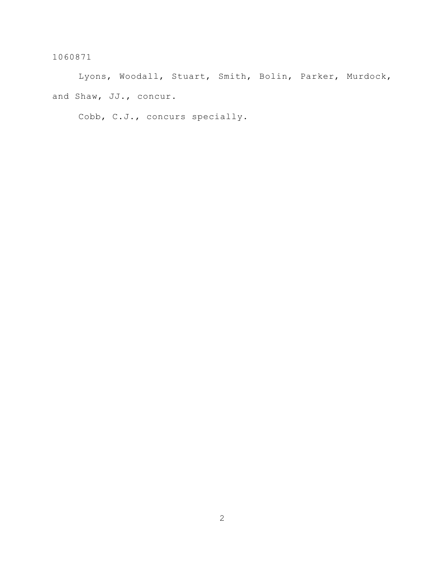Lyons, Woodall, Stuart, Smith, Bolin, Parker, Murdock, and Shaw, JJ., concur.

Cobb, C.J., concurs specially.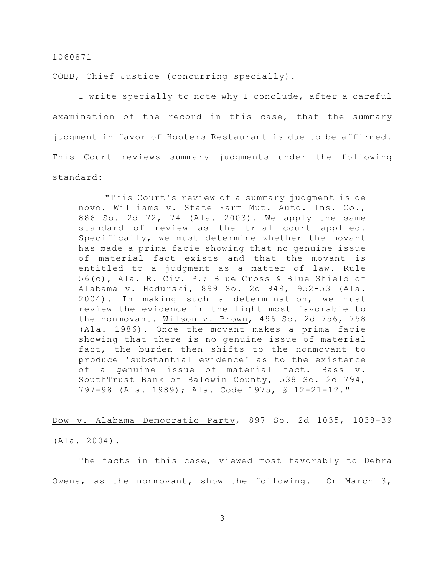COBB, Chief Justice (concurring specially).

I write specially to note why I conclude, after a careful examination of the record in this case, that the summary judgment in favor of Hooters Restaurant is due to be affirmed. This Court reviews summary judgments under the following standard:

"This Court's review of a summary judgment is de novo. Williams v. State Farm Mut. Auto. Ins. Co., 886 So. 2d 72, 74 (Ala. 2003). We apply the same standard of review as the trial court applied. Specifically, we must determine whether the movant has made a prima facie showing that no genuine issue of material fact exists and that the movant is entitled to a judgment as a matter of law. Rule 56(c), Ala. R. Civ. P.; Blue Cross & Blue Shield of Alabama v. Hodurski, 899 So. 2d 949, 952-53 (Ala. 2004). In making such a determination, we must review the evidence in the light most favorable to the nonmovant. Wilson v. Brown, 496 So. 2d 756, 758 (Ala. 1986). Once the movant makes a prima facie showing that there is no genuine issue of material fact, the burden then shifts to the nonmovant to produce 'substantial evidence' as to the existence of a genuine issue of material fact. Bass v. SouthTrust Bank of Baldwin County, 538 So. 2d 794, 797-98 (Ala. 1989); Ala. Code 1975, § 12-21-12."

Dow v. Alabama Democratic Party, 897 So. 2d 1035, 1038-39

(Ala. 2004).

The facts in this case, viewed most favorably to Debra Owens, as the nonmovant, show the following. On March 3,

3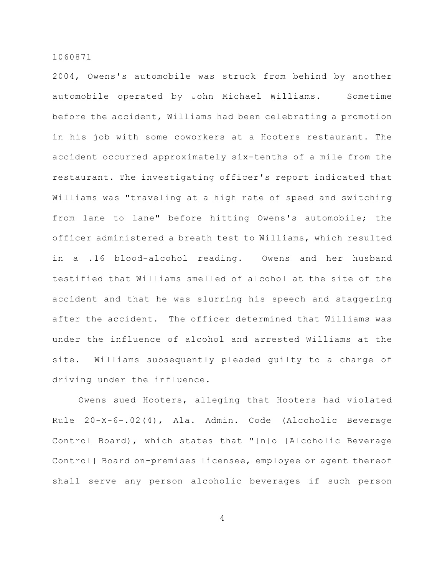2004, Owens's automobile was struck from behind by another automobile operated by John Michael Williams. Sometime before the accident, Williams had been celebrating a promotion in his job with some coworkers at a Hooters restaurant. The accident occurred approximately six-tenths of a mile from the restaurant. The investigating officer's report indicated that Williams was "traveling at a high rate of speed and switching from lane to lane" before hitting Owens's automobile; the officer administered a breath test to Williams, which resulted in a .16 blood-alcohol reading. Owens and her husband testified that Williams smelled of alcohol at the site of the accident and that he was slurring his speech and staggering after the accident. The officer determined that Williams was under the influence of alcohol and arrested Williams at the site. Williams subsequently pleaded guilty to a charge of driving under the influence.

Owens sued Hooters, alleging that Hooters had violated Rule 20-X-6-.02(4), Ala. Admin. Code (Alcoholic Beverage Control Board), which states that "[n]o [Alcoholic Beverage Control] Board on-premises licensee, employee or agent thereof shall serve any person alcoholic beverages if such person

4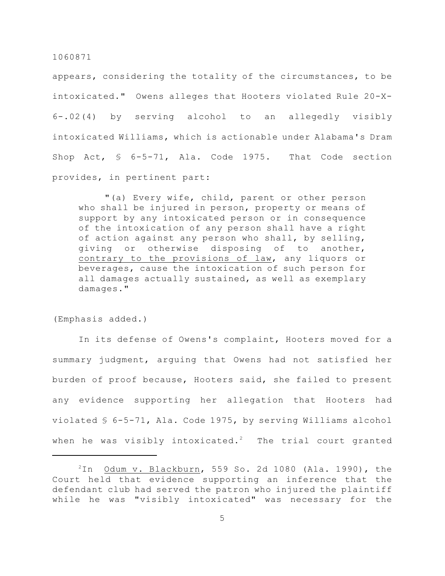appears, considering the totality of the circumstances, to be intoxicated." Owens alleges that Hooters violated Rule 20-X-6-.02(4) by serving alcohol to an allegedly visibly intoxicated Williams, which is actionable under Alabama's Dram Shop Act, § 6-5-71, Ala. Code 1975. That Code section provides, in pertinent part:

"(a) Every wife, child, parent or other person who shall be injured in person, property or means of support by any intoxicated person or in consequence of the intoxication of any person shall have a right of action against any person who shall, by selling, giving or otherwise disposing of to another, contrary to the provisions of law, any liquors or beverages, cause the intoxication of such person for all damages actually sustained, as well as exemplary damages."

(Emphasis added.)

In its defense of Owens's complaint, Hooters moved for a summary judgment, arguing that Owens had not satisfied her burden of proof because, Hooters said, she failed to present any evidence supporting her allegation that Hooters had violated § 6-5-71, Ala. Code 1975, by serving Williams alcohol when he was visibly intoxicated.<sup>2</sup> The trial court granted

 $2$ In Odum v. Blackburn, 559 So. 2d 1080 (Ala. 1990), the Court held that evidence supporting an inference that the defendant club had served the patron who injured the plaintiff while he was "visibly intoxicated" was necessary for the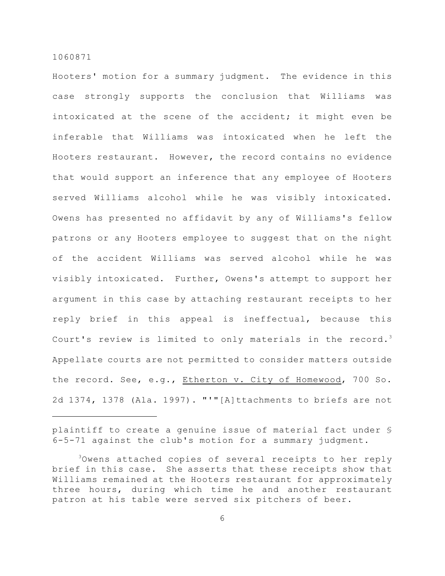Hooters' motion for a summary judgment. The evidence in this case strongly supports the conclusion that Williams was intoxicated at the scene of the accident; it might even be inferable that Williams was intoxicated when he left the Hooters restaurant. However, the record contains no evidence that would support an inference that any employee of Hooters served Williams alcohol while he was visibly intoxicated. Owens has presented no affidavit by any of Williams's fellow patrons or any Hooters employee to suggest that on the night of the accident Williams was served alcohol while he was visibly intoxicated. Further, Owens's attempt to support her argument in this case by attaching restaurant receipts to her reply brief in this appeal is ineffectual, because this Court's review is limited to only materials in the record.<sup>3</sup> Appellate courts are not permitted to consider matters outside the record. See, e.g., Etherton v. City of Homewood, 700 So. 2d 1374, 1378 (Ala. 1997). "'"[A]ttachments to briefs are not

plaintiff to create a genuine issue of material fact under § 6-5-71 against the club's motion for a summary judgment.

<sup>&</sup>lt;sup>3</sup>Owens attached copies of several receipts to her reply brief in this case. She asserts that these receipts show that Williams remained at the Hooters restaurant for approximately three hours, during which time he and another restaurant patron at his table were served six pitchers of beer.